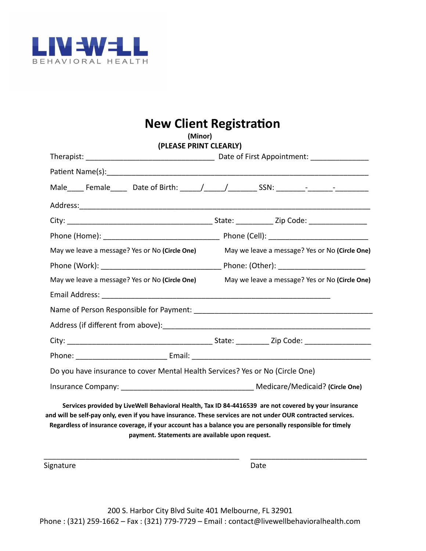

# **New Client Registration**

| (Minor)                                                                                                                                                                                                                                                                                                                                                                              |                                                |  |  |  |
|--------------------------------------------------------------------------------------------------------------------------------------------------------------------------------------------------------------------------------------------------------------------------------------------------------------------------------------------------------------------------------------|------------------------------------------------|--|--|--|
| (PLEASE PRINT CLEARLY)                                                                                                                                                                                                                                                                                                                                                               |                                                |  |  |  |
|                                                                                                                                                                                                                                                                                                                                                                                      |                                                |  |  |  |
|                                                                                                                                                                                                                                                                                                                                                                                      |                                                |  |  |  |
|                                                                                                                                                                                                                                                                                                                                                                                      |                                                |  |  |  |
|                                                                                                                                                                                                                                                                                                                                                                                      |                                                |  |  |  |
|                                                                                                                                                                                                                                                                                                                                                                                      |                                                |  |  |  |
|                                                                                                                                                                                                                                                                                                                                                                                      |                                                |  |  |  |
| May we leave a message? Yes or No (Circle One)                                                                                                                                                                                                                                                                                                                                       | May we leave a message? Yes or No (Circle One) |  |  |  |
|                                                                                                                                                                                                                                                                                                                                                                                      |                                                |  |  |  |
| May we leave a message? Yes or No (Circle One)                                                                                                                                                                                                                                                                                                                                       | May we leave a message? Yes or No (Circle One) |  |  |  |
|                                                                                                                                                                                                                                                                                                                                                                                      |                                                |  |  |  |
|                                                                                                                                                                                                                                                                                                                                                                                      |                                                |  |  |  |
|                                                                                                                                                                                                                                                                                                                                                                                      |                                                |  |  |  |
|                                                                                                                                                                                                                                                                                                                                                                                      |                                                |  |  |  |
| Phone: Email: Email: Email: Email: Email: Email: Email: Email: Email: Email: Email: Email: Email: Email: Email: Email: Email: Email: Email: Email: Email: Email: Email: Email: Email: Email: Email: Email: Email: Email: Email                                                                                                                                                       |                                                |  |  |  |
| Do you have insurance to cover Mental Health Services? Yes or No (Circle One)                                                                                                                                                                                                                                                                                                        |                                                |  |  |  |
| Insurance Company: Medicare/Medicaid? (Circle One)                                                                                                                                                                                                                                                                                                                                   |                                                |  |  |  |
| Services provided by LiveWell Behavioral Health, Tax ID 84-4416539 are not covered by your insurance<br>and will be self-pay only, even if you have insurance. These services are not under OUR contracted services.<br>Regardless of insurance coverage, if your account has a balance you are personally responsible for timely<br>payment. Statements are available upon request. |                                                |  |  |  |
|                                                                                                                                                                                                                                                                                                                                                                                      |                                                |  |  |  |

200 S. Harbor City Blvd Suite 401 Melbourne, FL 32901 Phone : (321) 259-1662 – Fax : (321) 779-7729 – Email : contact@livewellbehavioralhealth.com

Signature Date Date Date Date Date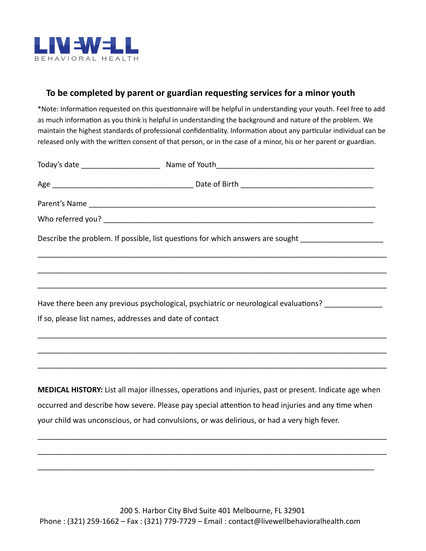

#### **To be completed by parent or guardian requesng services for a minor youth**

\*Note: Information requested on this questionnaire will be helpful in understanding your youth. Feel free to add as much information as you think is helpful in understanding the background and nature of the problem. We maintain the highest standards of professional confidentiality. Information about any particular individual can be released only with the written consent of that person, or in the case of a minor, his or her parent or guardian.

| Describe the problem. If possible, list questions for which answers are sought ____________________    |
|--------------------------------------------------------------------------------------------------------|
|                                                                                                        |
|                                                                                                        |
| Have there been any previous psychological, psychiatric or neurological evaluations? ______________    |
| If so, please list names, addresses and date of contact                                                |
|                                                                                                        |
|                                                                                                        |
| MEDICAL HISTORY: List all major illnesses, operations and injuries, past or present. Indicate age when |
| escurred and describe how sovere please nay special attention to bead injuries and any time when       |

occurred and describe how severe. Please pay special attention to head injuries and any time when your child was unconscious, or had convulsions, or was delirious, or had a very high fever.

\_\_\_\_\_\_\_\_\_\_\_\_\_\_\_\_\_\_\_\_\_\_\_\_\_\_\_\_\_\_\_\_\_\_\_\_\_\_\_\_\_\_\_\_\_\_\_\_\_\_\_\_\_\_\_\_\_\_\_\_\_\_\_\_\_\_\_\_\_\_\_\_\_\_\_\_\_\_\_\_\_\_\_\_

\_\_\_\_\_\_\_\_\_\_\_\_\_\_\_\_\_\_\_\_\_\_\_\_\_\_\_\_\_\_\_\_\_\_\_\_\_\_\_\_\_\_\_\_\_\_\_\_\_\_\_\_\_\_\_\_\_\_\_\_\_\_\_\_\_\_\_\_\_\_\_\_\_\_\_\_\_\_\_\_\_\_\_\_

\_\_\_\_\_\_\_\_\_\_\_\_\_\_\_\_\_\_\_\_\_\_\_\_\_\_\_\_\_\_\_\_\_\_\_\_\_\_\_\_\_\_\_\_\_\_\_\_\_\_\_\_\_\_\_\_\_\_\_\_\_\_\_\_\_\_\_\_\_\_\_\_\_\_\_\_\_\_\_\_\_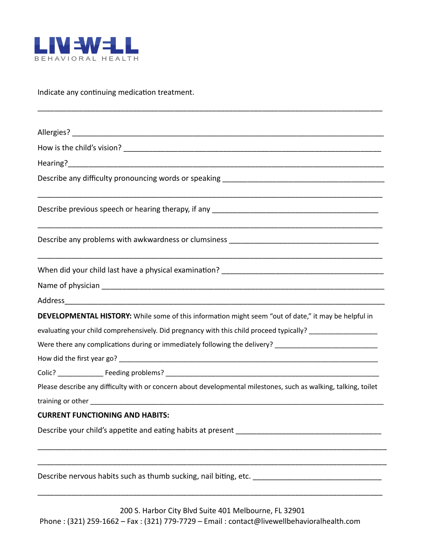

Indicate any continuing medication treatment.

|                                        | DEVELOPMENTAL HISTORY: While some of this information might seem "out of date," it may be helpful in                                                                                                                           |
|----------------------------------------|--------------------------------------------------------------------------------------------------------------------------------------------------------------------------------------------------------------------------------|
|                                        | evaluating your child comprehensively. Did pregnancy with this child proceed typically? __________________                                                                                                                     |
|                                        | Were there any complications during or immediately following the delivery? ___________________________________                                                                                                                 |
|                                        |                                                                                                                                                                                                                                |
|                                        |                                                                                                                                                                                                                                |
|                                        | Please describe any difficulty with or concern about developmental milestones, such as walking, talking, toilet                                                                                                                |
|                                        | training or other training or other than the contract of the contract of the contract of the contract of the contract of the contract of the contract of the contract of the contract of the contract of the contract of the c |
| <b>CURRENT FUNCTIONING AND HABITS:</b> |                                                                                                                                                                                                                                |
|                                        |                                                                                                                                                                                                                                |
|                                        | Describe nervous habits such as thumb sucking, nail biting, etc.                                                                                                                                                               |

\_\_\_\_\_\_\_\_\_\_\_\_\_\_\_\_\_\_\_\_\_\_\_\_\_\_\_\_\_\_\_\_\_\_\_\_\_\_\_\_\_\_\_\_\_\_\_\_\_\_\_\_\_\_\_\_\_\_\_\_\_\_\_\_\_\_\_\_\_\_\_\_\_\_\_\_\_\_\_\_\_\_\_

\_\_\_\_\_\_\_\_\_\_\_\_\_\_\_\_\_\_\_\_\_\_\_\_\_\_\_\_\_\_\_\_\_\_\_\_\_\_\_\_\_\_\_\_\_\_\_\_\_\_\_\_\_\_\_\_\_\_\_\_\_\_\_\_\_\_\_\_\_\_\_\_\_\_\_\_\_\_\_\_\_\_\_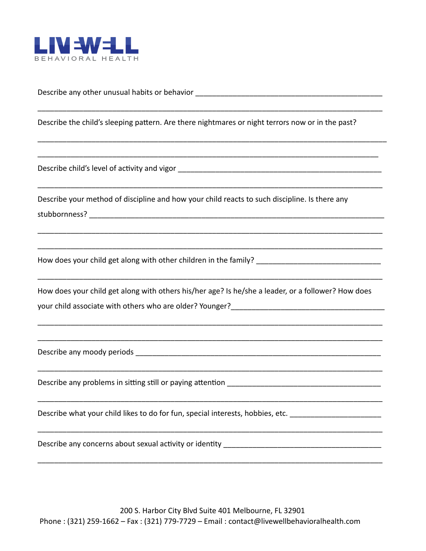

Describe any other unusual habits or behavior \_\_\_\_\_\_\_\_\_\_\_\_\_\_\_\_\_\_\_\_\_\_\_\_\_\_\_\_\_\_\_\_\_\_

Describe the child's sleeping pattern. Are there nightmares or night terrors now or in the past?

\_\_\_\_\_\_\_\_\_\_\_\_\_\_\_\_\_\_\_\_\_\_\_\_\_\_\_\_\_\_\_\_\_\_\_\_\_\_\_\_\_\_\_\_\_\_\_\_\_\_\_\_\_\_\_\_\_\_\_\_\_\_\_\_\_\_\_\_\_\_\_\_\_\_\_\_\_\_\_\_\_\_\_

\_\_\_\_\_\_\_\_\_\_\_\_\_\_\_\_\_\_\_\_\_\_\_\_\_\_\_\_\_\_\_\_\_\_\_\_\_\_\_\_\_\_\_\_\_\_\_\_\_\_\_\_\_\_\_\_\_\_\_\_\_\_\_\_\_\_\_\_\_\_\_\_\_\_\_\_\_\_\_\_\_\_\_\_

\_\_\_\_\_\_\_\_\_\_\_\_\_\_\_\_\_\_\_\_\_\_\_\_\_\_\_\_\_\_\_\_\_\_\_\_\_\_\_\_\_\_\_\_\_\_\_\_\_\_\_\_\_\_\_\_\_\_\_\_\_\_\_\_\_\_\_\_\_\_\_\_\_\_\_\_\_\_\_\_\_\_

\_\_\_\_\_\_\_\_\_\_\_\_\_\_\_\_\_\_\_\_\_\_\_\_\_\_\_\_\_\_\_\_\_\_\_\_\_\_\_\_\_\_\_\_\_\_\_\_\_\_\_\_\_\_\_\_\_\_\_\_\_\_\_\_\_\_\_\_\_\_\_\_\_\_\_\_\_\_\_\_\_\_\_

\_\_\_\_\_\_\_\_\_\_\_\_\_\_\_\_\_\_\_\_\_\_\_\_\_\_\_\_\_\_\_\_\_\_\_\_\_\_\_\_\_\_\_\_\_\_\_\_\_\_\_\_\_\_\_\_\_\_\_\_\_\_\_\_\_\_\_\_\_\_\_\_\_\_\_\_\_\_\_\_\_\_\_

\_\_\_\_\_\_\_\_\_\_\_\_\_\_\_\_\_\_\_\_\_\_\_\_\_\_\_\_\_\_\_\_\_\_\_\_\_\_\_\_\_\_\_\_\_\_\_\_\_\_\_\_\_\_\_\_\_\_\_\_\_\_\_\_\_\_\_\_\_\_\_\_\_\_\_\_\_\_\_\_\_\_\_

\_\_\_\_\_\_\_\_\_\_\_\_\_\_\_\_\_\_\_\_\_\_\_\_\_\_\_\_\_\_\_\_\_\_\_\_\_\_\_\_\_\_\_\_\_\_\_\_\_\_\_\_\_\_\_\_\_\_\_\_\_\_\_\_\_\_\_\_\_\_\_\_\_\_\_\_\_\_\_\_\_\_\_

\_\_\_\_\_\_\_\_\_\_\_\_\_\_\_\_\_\_\_\_\_\_\_\_\_\_\_\_\_\_\_\_\_\_\_\_\_\_\_\_\_\_\_\_\_\_\_\_\_\_\_\_\_\_\_\_\_\_\_\_\_\_\_\_\_\_\_\_\_\_\_\_\_\_\_\_\_\_\_\_\_\_\_

\_\_\_\_\_\_\_\_\_\_\_\_\_\_\_\_\_\_\_\_\_\_\_\_\_\_\_\_\_\_\_\_\_\_\_\_\_\_\_\_\_\_\_\_\_\_\_\_\_\_\_\_\_\_\_\_\_\_\_\_\_\_\_\_\_\_\_\_\_\_\_\_\_\_\_\_\_\_\_\_\_\_\_

\_\_\_\_\_\_\_\_\_\_\_\_\_\_\_\_\_\_\_\_\_\_\_\_\_\_\_\_\_\_\_\_\_\_\_\_\_\_\_\_\_\_\_\_\_\_\_\_\_\_\_\_\_\_\_\_\_\_\_\_\_\_\_\_\_\_\_\_\_\_\_\_\_\_\_\_\_\_\_\_\_\_\_

\_\_\_\_\_\_\_\_\_\_\_\_\_\_\_\_\_\_\_\_\_\_\_\_\_\_\_\_\_\_\_\_\_\_\_\_\_\_\_\_\_\_\_\_\_\_\_\_\_\_\_\_\_\_\_\_\_\_\_\_\_\_\_\_\_\_\_\_\_\_\_\_\_\_\_\_\_\_\_\_\_\_\_

\_\_\_\_\_\_\_\_\_\_\_\_\_\_\_\_\_\_\_\_\_\_\_\_\_\_\_\_\_\_\_\_\_\_\_\_\_\_\_\_\_\_\_\_\_\_\_\_\_\_\_\_\_\_\_\_\_\_\_\_\_\_\_\_\_\_\_\_\_\_\_\_\_\_\_\_\_\_\_\_\_\_\_

\_\_\_\_\_\_\_\_\_\_\_\_\_\_\_\_\_\_\_\_\_\_\_\_\_\_\_\_\_\_\_\_\_\_\_\_\_\_\_\_\_\_\_\_\_\_\_\_\_\_\_\_\_\_\_\_\_\_\_\_\_\_\_\_\_\_\_\_\_\_\_\_\_\_\_\_\_\_\_\_\_\_\_

Describe child's level of activity and vigor example and  $\alpha$  and  $\alpha$  and  $\alpha$  and  $\alpha$ 

Describe your method of discipline and how your child reacts to such discipline. Is there any stubbornness? \_\_\_\_\_\_\_\_\_\_\_\_\_\_\_\_\_\_\_\_\_\_\_\_\_\_\_\_\_\_\_\_\_\_\_\_\_\_\_\_\_\_\_\_\_\_\_\_\_\_\_\_\_\_\_\_\_\_\_\_\_\_\_\_\_\_\_\_\_\_\_

How does your child get along with other children in the family?

How does your child get along with others his/her age? Is he/she a leader, or a follower? How does your child associate with others who are older? Younger?

Describe any moody periods \_\_\_\_\_\_\_\_\_\_\_\_\_\_\_\_\_\_\_\_\_\_\_\_\_\_\_\_\_\_\_\_\_\_\_\_\_\_\_\_\_\_\_\_\_\_\_\_\_\_\_\_\_\_\_\_\_\_\_

Describe any problems in sitting still or paying attention

Describe what your child likes to do for fun, special interests, hobbies, etc.

Describe any concerns about sexual activity or identity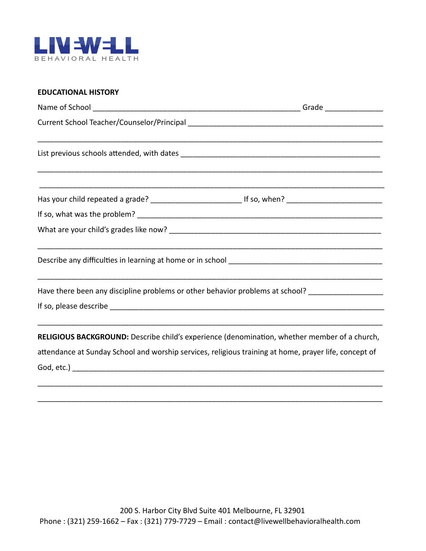

#### **EDUCATIONAL HISTORY**

| ,我们就会在这里的,我们就会在这里的人,我们就会在这里,我们就会在这里,我们就会在这里,我们就会在这里,我们就会在这里,我们就会在这里,我们就会在这里,我们就会<br>Has your child repeated a grade? _________________________________ If so, when? ______________________________                                                                                                                             |  |  |  |  |  |  |
|--------------------------------------------------------------------------------------------------------------------------------------------------------------------------------------------------------------------------------------------------------------------------------------------------------------------------------|--|--|--|--|--|--|
|                                                                                                                                                                                                                                                                                                                                |  |  |  |  |  |  |
|                                                                                                                                                                                                                                                                                                                                |  |  |  |  |  |  |
|                                                                                                                                                                                                                                                                                                                                |  |  |  |  |  |  |
| Have there been any discipline problems or other behavior problems at school? _____________________                                                                                                                                                                                                                            |  |  |  |  |  |  |
|                                                                                                                                                                                                                                                                                                                                |  |  |  |  |  |  |
| <u> 1989 - Johann Stoff, deutscher Stoff, der Stoff, der Stoff, der Stoff, der Stoff, der Stoff, der Stoff, der S</u><br>RELIGIOUS BACKGROUND: Describe child's experience (denomination, whether member of a church,<br>attendance at Sunday School and worship services, religious training at home, prayer life, concept of |  |  |  |  |  |  |
|                                                                                                                                                                                                                                                                                                                                |  |  |  |  |  |  |

\_\_\_\_\_\_\_\_\_\_\_\_\_\_\_\_\_\_\_\_\_\_\_\_\_\_\_\_\_\_\_\_\_\_\_\_\_\_\_\_\_\_\_\_\_\_\_\_\_\_\_\_\_\_\_\_\_\_\_\_\_\_\_\_\_\_\_\_\_\_\_\_\_\_\_\_\_\_\_\_\_\_\_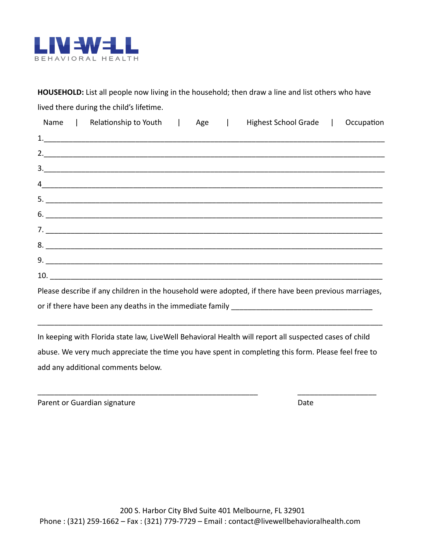

**HOUSEHOLD:** List all people now living in the household; then draw a line and list others who have lived there during the child's lifetime.

|                     |    |  | Name   Relationship to Youth   Age   Highest School Grade                                                                                                                                                                                                                                                                                                                             | Occupation |
|---------------------|----|--|---------------------------------------------------------------------------------------------------------------------------------------------------------------------------------------------------------------------------------------------------------------------------------------------------------------------------------------------------------------------------------------|------------|
|                     |    |  |                                                                                                                                                                                                                                                                                                                                                                                       |            |
|                     |    |  |                                                                                                                                                                                                                                                                                                                                                                                       |            |
|                     | 3. |  |                                                                                                                                                                                                                                                                                                                                                                                       |            |
|                     |    |  | $\frac{4}{2}$                                                                                                                                                                                                                                                                                                                                                                         |            |
|                     |    |  |                                                                                                                                                                                                                                                                                                                                                                                       |            |
|                     |    |  | $\overline{6}$ . $\overline{2}$ $\overline{2}$ $\overline{2}$ $\overline{2}$ $\overline{2}$ $\overline{2}$ $\overline{2}$ $\overline{2}$ $\overline{2}$ $\overline{2}$ $\overline{2}$ $\overline{2}$ $\overline{2}$ $\overline{2}$ $\overline{2}$ $\overline{2}$ $\overline{2}$ $\overline{2}$ $\overline{2}$ $\overline{2}$ $\overline{2}$ $\overline{2}$ $\overline{2}$ $\overline$ |            |
|                     |    |  | 7.                                                                                                                                                                                                                                                                                                                                                                                    |            |
|                     |    |  | $8.$ $\overline{\phantom{a}}$                                                                                                                                                                                                                                                                                                                                                         |            |
|                     |    |  |                                                                                                                                                                                                                                                                                                                                                                                       |            |
| 10. $\qquad \qquad$ |    |  |                                                                                                                                                                                                                                                                                                                                                                                       |            |

Please describe if any children in the household were adopted, if there have been previous marriages, or if there have been any deaths in the immediate family

\_\_\_\_\_\_\_\_\_\_\_\_\_\_\_\_\_\_\_\_\_\_\_\_\_\_\_\_\_\_\_\_\_\_\_\_\_\_\_\_\_\_\_\_\_\_\_\_\_\_\_\_\_\_\_\_\_\_\_\_\_\_\_\_\_\_\_\_\_\_\_\_\_\_\_\_\_\_\_\_\_\_\_

In keeping with Florida state law, LiveWell Behavioral Health will report all suspected cases of child abuse. We very much appreciate the time you have spent in completing this form. Please feel free to add any additional comments below.

\_\_\_\_\_\_\_\_\_\_\_\_\_\_\_\_\_\_\_\_\_\_\_\_\_\_\_\_\_\_\_\_\_\_\_\_\_\_\_\_\_\_\_\_\_\_\_\_\_\_\_\_\_ \_\_\_\_\_\_\_\_\_\_\_\_\_\_\_\_\_\_\_

Parent or Guardian signature Date Date Date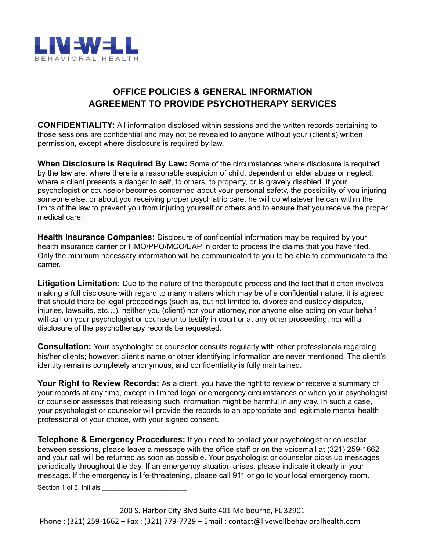

## **OFFICE POLICIES & GENERAL INFORMATION AGREEMENT TO PROVIDE PSYCHOTHERAPY SERVICES**

**CONFIDENTIALITY:** All information disclosed within sessions and the written records pertaining to those sessions are confidential and may not be revealed to anyone without your (client's) written permission, except where disclosure is required by law.

**When Disclosure Is Required By Law:** Some of the circumstances where disclosure is required by the law are: where there is a reasonable suspicion of child, dependent or elder abuse or neglect; where a client presents a danger to self, to others, to property, or is gravely disabled. If your psychologist or counselor becomes concerned about your personal safety, the possibility of you injuring someone else, or about you receiving proper psychiatric care, he will do whatever he can within the limits of the law to prevent you from injuring yourself or others and to ensure that you receive the proper medical care.

**Health Insurance Companies:** Disclosure of confidential information may be required by your health insurance carrier or HMO/PPO/MCO/EAP in order to process the claims that you have filed. Only the minimum necessary information will be communicated to you to be able to communicate to the carrier.

**Litigation Limitation:** Due to the nature of the therapeutic process and the fact that it often involves making a full disclosure with regard to many matters which may be of a confidential nature, it is agreed that should there be legal proceedings (such as, but not limited to, divorce and custody disputes, injuries, lawsuits, etc…), neither you (client) nor your attorney, nor anyone else acting on your behalf will call on your psychologist or counselor to testify in court or at any other proceeding, nor will a disclosure of the psychotherapy records be requested.

**Consultation:** Your psychologist or counselor consults regularly with other professionals regarding his/her clients; however, client's name or other identifying information are never mentioned. The client's identity remains completely anonymous, and confidentiality is fully maintained.

Your Right to Review Records: As a client, you have the right to review or receive a summary of your records at any time, except in limited legal or emergency circumstances or when your psychologist or counselor assesses that releasing such information might be harmful in any way. In such a case, your psychologist or counselor will provide the records to an appropriate and legitimate mental health professional of your choice, with your signed consent.

**Telephone & Emergency Procedures:** If you need to contact your psychologist or counselor between sessions, please leave a message with the office staff or on the voicemail at (321) 259-1662 and your call will be returned as soon as possible. Your psychologist or counselor picks up messages periodically throughout the day. If an emergency situation arises, please indicate it clearly in your message. If the emergency is life-threatening, please call 911 or go to your local emergency room.

Section 1 of 3. Initials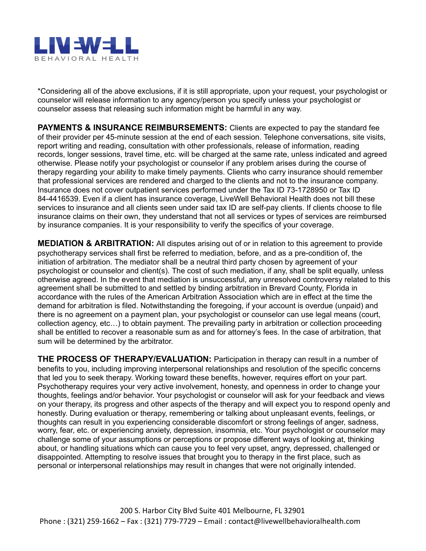

\*Considering all of the above exclusions, if it is still appropriate, upon your request, your psychologist or counselor will release information to any agency/person you specify unless your psychologist or counselor assess that releasing such information might be harmful in any way.

**PAYMENTS & INSURANCE REIMBURSEMENTS:** Clients are expected to pay the standard fee of their provider per 45-minute session at the end of each session. Telephone conversations, site visits, report writing and reading, consultation with other professionals, release of information, reading records, longer sessions, travel time, etc. will be charged at the same rate, unless indicated and agreed otherwise. Please notify your psychologist or counselor if any problem arises during the course of therapy regarding your ability to make timely payments. Clients who carry insurance should remember that professional services are rendered and charged to the clients and not to the insurance company. Insurance does not cover outpatient services performed under the Tax ID 73-1728950 or Tax ID 84-4416539. Even if a client has insurance coverage, LiveWell Behavioral Health does not bill these services to insurance and all clients seen under said tax ID are self-pay clients. If clients choose to file insurance claims on their own, they understand that not all services or types of services are reimbursed by insurance companies. It is your responsibility to verify the specifics of your coverage.

**MEDIATION & ARBITRATION:** All disputes arising out of or in relation to this agreement to provide psychotherapy services shall first be referred to mediation, before, and as a pre-condition of, the initiation of arbitration. The mediator shall be a neutral third party chosen by agreement of your psychologist or counselor and client(s). The cost of such mediation, if any, shall be split equally, unless otherwise agreed. In the event that mediation is unsuccessful, any unresolved controversy related to this agreement shall be submitted to and settled by binding arbitration in Brevard County, Florida in accordance with the rules of the American Arbitration Association which are in effect at the time the demand for arbitration is filed. Notwithstanding the foregoing, if your account is overdue (unpaid) and there is no agreement on a payment plan, your psychologist or counselor can use legal means (court, collection agency, etc…) to obtain payment. The prevailing party in arbitration or collection proceeding shall be entitled to recover a reasonable sum as and for attorney's fees. In the case of arbitration, that sum will be determined by the arbitrator.

**THE PROCESS OF THERAPY/EVALUATION:** Participation in therapy can result in a number of benefits to you, including improving interpersonal relationships and resolution of the specific concerns that led you to seek therapy. Working toward these benefits, however, requires effort on your part. Psychotherapy requires your very active involvement, honesty, and openness in order to change your thoughts, feelings and/or behavior. Your psychologist or counselor will ask for your feedback and views on your therapy, its progress and other aspects of the therapy and will expect you to respond openly and honestly. During evaluation or therapy, remembering or talking about unpleasant events, feelings, or thoughts can result in you experiencing considerable discomfort or strong feelings of anger, sadness, worry, fear, etc. or experiencing anxiety, depression, insomnia, etc. Your psychologist or counselor may challenge some of your assumptions or perceptions or propose different ways of looking at, thinking about, or handling situations which can cause you to feel very upset, angry, depressed, challenged or disappointed. Attempting to resolve issues that brought you to therapy in the first place, such as personal or interpersonal relationships may result in changes that were not originally intended.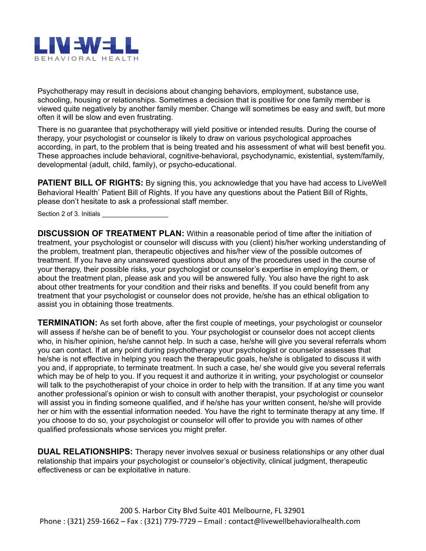

Psychotherapy may result in decisions about changing behaviors, employment, substance use, schooling, housing or relationships. Sometimes a decision that is positive for one family member is viewed quite negatively by another family member. Change will sometimes be easy and swift, but more often it will be slow and even frustrating.

There is no guarantee that psychotherapy will yield positive or intended results. During the course of therapy, your psychologist or counselor is likely to draw on various psychological approaches according, in part, to the problem that is being treated and his assessment of what will best benefit you. These approaches include behavioral, cognitive-behavioral, psychodynamic, existential, system/family, developmental (adult, child, family), or psycho-educational.

**PATIENT BILL OF RIGHTS:** By signing this, you acknowledge that you have had access to LiveWell Behavioral Health' Patient Bill of Rights. If you have any questions about the Patient Bill of Rights, please don't hesitate to ask a professional staff member.

Section 2 of 3. Initials

**DISCUSSION OF TREATMENT PLAN:** Within a reasonable period of time after the initiation of treatment, your psychologist or counselor will discuss with you (client) his/her working understanding of the problem, treatment plan, therapeutic objectives and his/her view of the possible outcomes of treatment. If you have any unanswered questions about any of the procedures used in the course of your therapy, their possible risks, your psychologist or counselor's expertise in employing them, or about the treatment plan, please ask and you will be answered fully. You also have the right to ask about other treatments for your condition and their risks and benefits. If you could benefit from any treatment that your psychologist or counselor does not provide, he/she has an ethical obligation to assist you in obtaining those treatments.

**TERMINATION:** As set forth above, after the first couple of meetings, your psychologist or counselor will assess if he/she can be of benefit to you. Your psychologist or counselor does not accept clients who, in his/her opinion, he/she cannot help. In such a case, he/she will give you several referrals whom you can contact. If at any point during psychotherapy your psychologist or counselor assesses that he/she is not effective in helping you reach the therapeutic goals, he/she is obligated to discuss it with you and, if appropriate, to terminate treatment. In such a case, he/ she would give you several referrals which may be of help to you. If you request it and authorize it in writing, your psychologist or counselor will talk to the psychotherapist of your choice in order to help with the transition. If at any time you want another professional's opinion or wish to consult with another therapist, your psychologist or counselor will assist you in finding someone qualified, and if he/she has your written consent, he/she will provide her or him with the essential information needed. You have the right to terminate therapy at any time. If you choose to do so, your psychologist or counselor will offer to provide you with names of other qualified professionals whose services you might prefer.

**DUAL RELATIONSHIPS:** Therapy never involves sexual or business relationships or any other dual relationship that impairs your psychologist or counselor's objectivity, clinical judgment, therapeutic effectiveness or can be exploitative in nature.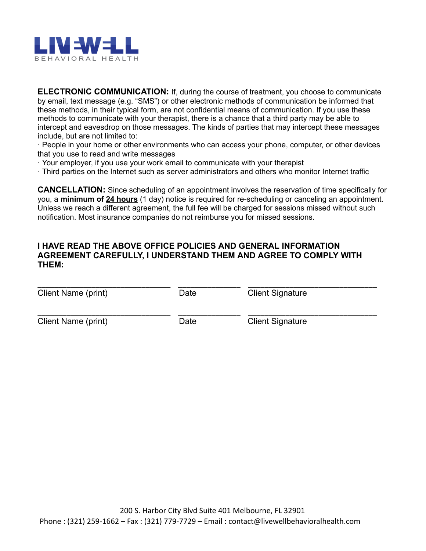

**ELECTRONIC COMMUNICATION:** If, during the course of treatment, you choose to communicate by email, text message (e.g. "SMS") or other electronic methods of communication be informed that these methods, in their typical form, are not confidential means of communication. If you use these methods to communicate with your therapist, there is a chance that a third party may be able to intercept and eavesdrop on those messages. The kinds of parties that may intercept these messages include, but are not limited to:

· People in your home or other environments who can access your phone, computer, or other devices that you use to read and write messages

· Your employer, if you use your work email to communicate with your therapist

· Third parties on the Internet such as server administrators and others who monitor Internet traffic

**CANCELLATION:** Since scheduling of an appointment involves the reservation of time specifically for you, a **minimum of 24 hours** (1 day) notice is required for re-scheduling or canceling an appointment. Unless we reach a different agreement, the full fee will be charged for sessions missed without such notification. Most insurance companies do not reimburse you for missed sessions.

#### **I HAVE READ THE ABOVE OFFICE POLICIES AND GENERAL INFORMATION AGREEMENT CAREFULLY, I UNDERSTAND THEM AND AGREE TO COMPLY WITH THEM:**

| Client Name (print) | Date | <b>Client Signature</b> |
|---------------------|------|-------------------------|
| Client Name (print) | Date | <b>Client Signature</b> |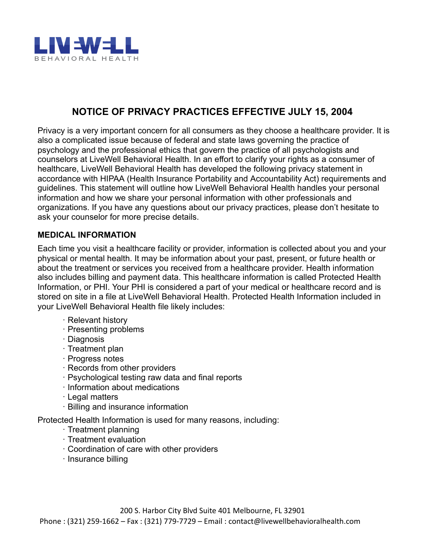

## **NOTICE OF PRIVACY PRACTICES EFFECTIVE JULY 15, 2004**

Privacy is a very important concern for all consumers as they choose a healthcare provider. It is also a complicated issue because of federal and state laws governing the practice of psychology and the professional ethics that govern the practice of all psychologists and counselors at LiveWell Behavioral Health. In an effort to clarify your rights as a consumer of healthcare, LiveWell Behavioral Health has developed the following privacy statement in accordance with HIPAA (Health Insurance Portability and Accountability Act) requirements and guidelines. This statement will outline how LiveWell Behavioral Health handles your personal information and how we share your personal information with other professionals and organizations. If you have any questions about our privacy practices, please don't hesitate to ask your counselor for more precise details.

#### **MEDICAL INFORMATION**

Each time you visit a healthcare facility or provider, information is collected about you and your physical or mental health. It may be information about your past, present, or future health or about the treatment or services you received from a healthcare provider. Health information also includes billing and payment data. This healthcare information is called Protected Health Information, or PHI. Your PHI is considered a part of your medical or healthcare record and is stored on site in a file at LiveWell Behavioral Health. Protected Health Information included in your LiveWell Behavioral Health file likely includes:

- · Relevant history
- · Presenting problems
- · Diagnosis
- · Treatment plan
- · Progress notes
- · Records from other providers
- · Psychological testing raw data and final reports
- · Information about medications
- · Legal matters
- · Billing and insurance information

Protected Health Information is used for many reasons, including:

- · Treatment planning
- · Treatment evaluation
- · Coordination of care with other providers
- · Insurance billing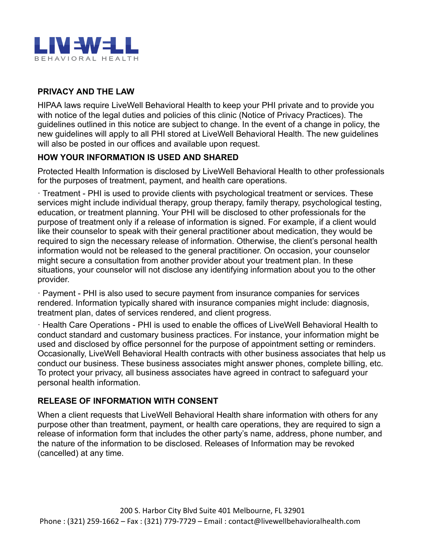

## **PRIVACY AND THE LAW**

HIPAA laws require LiveWell Behavioral Health to keep your PHI private and to provide you with notice of the legal duties and policies of this clinic (Notice of Privacy Practices). The guidelines outlined in this notice are subject to change. In the event of a change in policy, the new guidelines will apply to all PHI stored at LiveWell Behavioral Health. The new guidelines will also be posted in our offices and available upon request.

#### **HOW YOUR INFORMATION IS USED AND SHARED**

Protected Health Information is disclosed by LiveWell Behavioral Health to other professionals for the purposes of treatment, payment, and health care operations.

· Treatment - PHI is used to provide clients with psychological treatment or services. These services might include individual therapy, group therapy, family therapy, psychological testing, education, or treatment planning. Your PHI will be disclosed to other professionals for the purpose of treatment only if a release of information is signed. For example, if a client would like their counselor to speak with their general practitioner about medication, they would be required to sign the necessary release of information. Otherwise, the client's personal health information would not be released to the general practitioner. On occasion, your counselor might secure a consultation from another provider about your treatment plan. In these situations, your counselor will not disclose any identifying information about you to the other provider.

· Payment - PHI is also used to secure payment from insurance companies for services rendered. Information typically shared with insurance companies might include: diagnosis, treatment plan, dates of services rendered, and client progress.

· Health Care Operations - PHI is used to enable the offices of LiveWell Behavioral Health to conduct standard and customary business practices. For instance, your information might be used and disclosed by office personnel for the purpose of appointment setting or reminders. Occasionally, LiveWell Behavioral Health contracts with other business associates that help us conduct our business. These business associates might answer phones, complete billing, etc. To protect your privacy, all business associates have agreed in contract to safeguard your personal health information.

#### **RELEASE OF INFORMATION WITH CONSENT**

When a client requests that LiveWell Behavioral Health share information with others for any purpose other than treatment, payment, or health care operations, they are required to sign a release of information form that includes the other party's name, address, phone number, and the nature of the information to be disclosed. Releases of Information may be revoked (cancelled) at any time.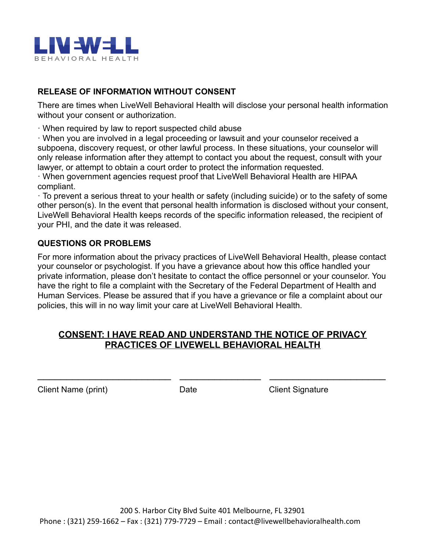

## **RELEASE OF INFORMATION WITHOUT CONSENT**

There are times when LiveWell Behavioral Health will disclose your personal health information without your consent or authorization.

· When required by law to report suspected child abuse

· When you are involved in a legal proceeding or lawsuit and your counselor received a subpoena, discovery request, or other lawful process. In these situations, your counselor will only release information after they attempt to contact you about the request, consult with your lawyer, or attempt to obtain a court order to protect the information requested.

· When government agencies request proof that LiveWell Behavioral Health are HIPAA compliant.

· To prevent a serious threat to your health or safety (including suicide) or to the safety of some other person(s). In the event that personal health information is disclosed without your consent, LiveWell Behavioral Health keeps records of the specific information released, the recipient of your PHI, and the date it was released.

#### **QUESTIONS OR PROBLEMS**

For more information about the privacy practices of LiveWell Behavioral Health, please contact your counselor or psychologist. If you have a grievance about how this office handled your private information, please don't hesitate to contact the office personnel or your counselor. You have the right to file a complaint with the Secretary of the Federal Department of Health and Human Services. Please be assured that if you have a grievance or file a complaint about our policies, this will in no way limit your care at LiveWell Behavioral Health.

## **CONSENT: I HAVE READ AND UNDERSTAND THE NOTICE OF PRIVACY PRACTICES OF LIVEWELL BEHAVIORAL HEALTH**

 $\overline{\phantom{a}}$  , and the contribution of the contribution of the contribution of the contribution of the contribution of the contribution of the contribution of the contribution of the contribution of the contribution of the

Client Name (print) Date Client Signature Client Signature